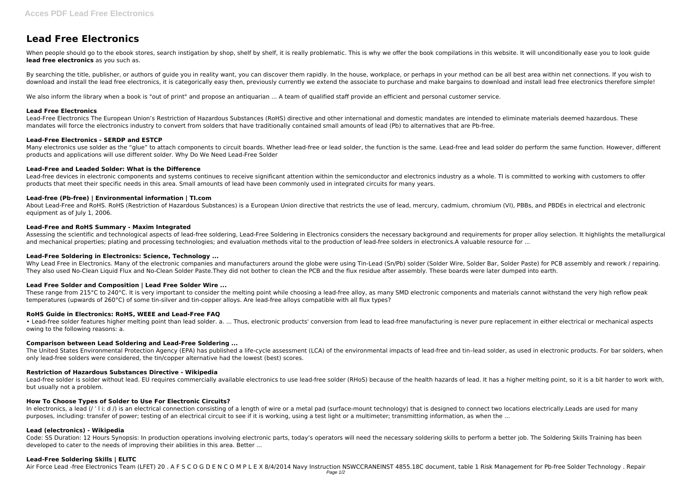# **Lead Free Electronics**

When people should go to the ebook stores, search instigation by shop, shelf by shelf, it is really problematic. This is why we offer the book compilations in this website. It will unconditionally ease you to look guide **lead free electronics** as you such as.

By searching the title, publisher, or authors of quide you in reality want, you can discover them rapidly. In the house, workplace, or perhaps in your method can be all best area within net connections. If you wish to download and install the lead free electronics, it is categorically easy then, previously currently we extend the associate to purchase and make bargains to download and install lead free electronics therefore simple!

We also inform the library when a book is "out of print" and propose an antiquarian ... A team of qualified staff provide an efficient and personal customer service.

Many electronics use solder as the "glue" to attach components to circuit boards. Whether lead-free or lead solder, the function is the same. Lead-free and lead solder do perform the same function. However, different products and applications will use different solder. Why Do We Need Lead-Free Solder

## **Lead Free Electronics**

Lead-Free Electronics The European Union's Restriction of Hazardous Substances (RoHS) directive and other international and domestic mandates are intended to eliminate materials deemed hazardous. These mandates will force the electronics industry to convert from solders that have traditionally contained small amounts of lead (Pb) to alternatives that are Pb-free.

### **Lead-Free Electronics - SERDP and ESTCP**

Why Lead Free in Electronics. Many of the electronic companies and manufacturers around the globe were using Tin-Lead (Sn/Pb) solder (Solder Wire, Solder Bar, Solder Paste) for PCB assembly and rework / repairing. They also used No-Clean Liquid Flux and No-Clean Solder Paste.They did not bother to clean the PCB and the flux residue after assembly. These boards were later dumped into earth.

# **Lead-Free and Leaded Solder: What is the Difference**

These range from 215°C to 240°C. It is very important to consider the melting point while choosing a lead-free alloy, as many SMD electronic components and materials cannot withstand the very high reflow peak temperatures (upwards of 260°C) of some tin-silver and tin-copper alloys. Are lead-free alloys compatible with all flux types?

Lead-free devices in electronic components and systems continues to receive significant attention within the semiconductor and electronics industry as a whole. TI is committed to working with customers to offer products that meet their specific needs in this area. Small amounts of lead have been commonly used in integrated circuits for many years.

# **Lead-free (Pb-free) | Environmental information | TI.com**

The United States Environmental Protection Agency (EPA) has published a life-cycle assessment (LCA) of the environmental impacts of lead-free and tin-lead solder, as used in electronic products. For bar solders, when only lead-free solders were considered, the tin/copper alternative had the lowest (best) scores.

About Lead-Free and RoHS. RoHS (Restriction of Hazardous Substances) is a European Union directive that restricts the use of lead, mercury, cadmium, chromium (VI), PBBs, and PBDEs in electrical and electronic equipment as of July 1, 2006.

Lead-free solder is solder without lead. EU requires commercially available electronics to use lead-free solder (RHoS) because of the health hazards of lead. It has a higher melting point, so it is a bit harder to work wit but usually not a problem.

# **Lead-Free and RoHS Summary - Maxim Integrated**

In electronics, a lead (/ ' l i: d /) is an electrical connection consisting of a length of wire or a metal pad (surface-mount technology) that is designed to connect two locations electrically.Leads are used for many purposes, including: transfer of power; testing of an electrical circuit to see if it is working, using a test light or a multimeter; transmitting information, as when the ...

Assessing the scientific and technological aspects of lead-free soldering, Lead-Free Soldering in Electronics considers the necessary background and requirements for proper alloy selection. It highlights the metallurgical and mechanical properties; plating and processing technologies; and evaluation methods vital to the production of lead-free solders in electronics.A valuable resource for ...

Code: SS Duration: 12 Hours Synopsis: In production operations involving electronic parts, today's operators will need the necessary soldering skills to perform a better job. The Soldering Skills Training has been developed to cater to the needs of improving their abilities in this area. Better ...

# **Lead-Free Soldering in Electronics: Science, Technology ...**

# **Lead Free Solder and Composition | Lead Free Solder Wire ...**

### **RoHS Guide in Electronics: RoHS, WEEE and Lead-Free FAQ**

• Lead-free solder features higher melting point than lead solder. a. ... Thus, electronic products' conversion from lead to lead-free manufacturing is never pure replacement in either electrical or mechanical aspects owing to the following reasons: a.

### **Comparison between Lead Soldering and Lead-Free Soldering ...**

### **Restriction of Hazardous Substances Directive - Wikipedia**

### **How To Choose Types of Solder to Use For Electronic Circuits?**

# **Lead (electronics) - Wikipedia**

### **Lead-Free Soldering Skills | ELITC**

Air Force Lead -free Electronics Team (LFET) 20 . A F S C O G D E N C O M P L E X 8/4/2014 Navy Instruction NSWCCRANEINST 4855.18C document, table 1 Risk Management for Pb-free Solder Technology . Repair